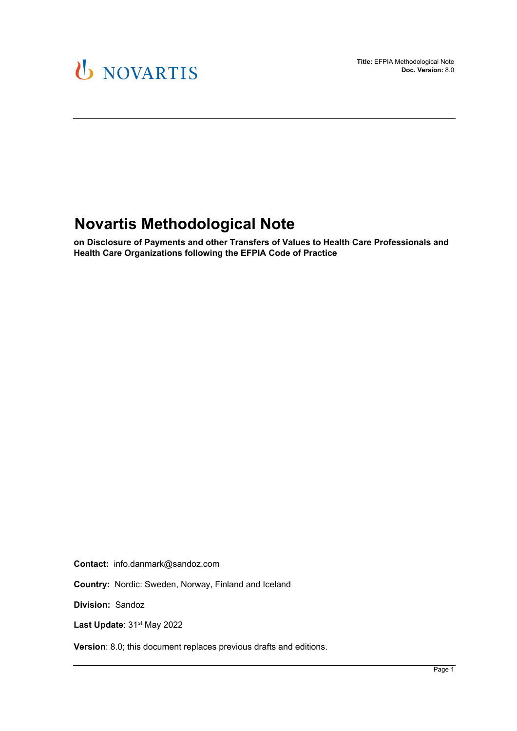

## **Novartis Methodological Note**

**on Disclosure of Payments and other Transfers of Values to Health Care Professionals and Health Care Organizations following the EFPIA Code of Practice** 

**Contact:** info.danmark@sandoz.com

**Country:** Nordic: Sweden, Norway, Finland and Iceland

**Division:** Sandoz

Last Update: 31<sup>st</sup> May 2022

**Version**: 8.0; this document replaces previous drafts and editions.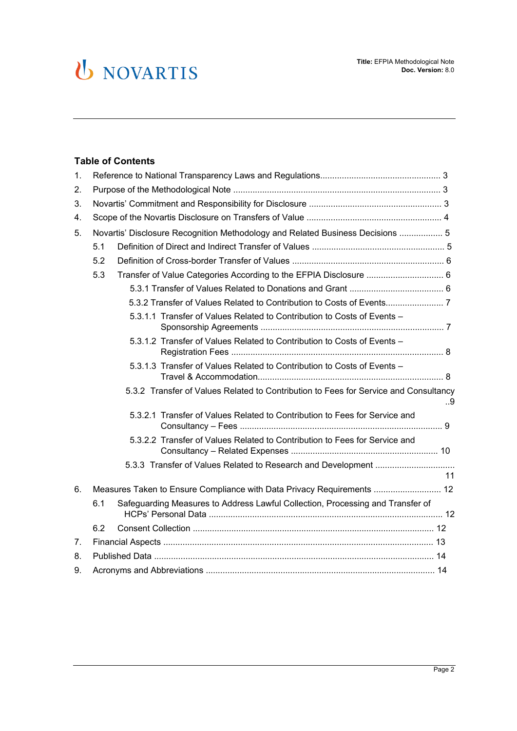#### **Table of Contents**

| $\mathbf{1}$ . |                                                                                       |                                                                            |    |  |
|----------------|---------------------------------------------------------------------------------------|----------------------------------------------------------------------------|----|--|
| 2.             |                                                                                       |                                                                            |    |  |
| 3.             |                                                                                       |                                                                            |    |  |
| 4.             |                                                                                       |                                                                            |    |  |
| 5.             | Novartis' Disclosure Recognition Methodology and Related Business Decisions  5        |                                                                            |    |  |
|                | 5.1                                                                                   |                                                                            |    |  |
|                | 5.2                                                                                   |                                                                            |    |  |
|                | 5.3                                                                                   |                                                                            |    |  |
|                |                                                                                       |                                                                            |    |  |
|                |                                                                                       |                                                                            |    |  |
|                |                                                                                       | 5.3.1.1 Transfer of Values Related to Contribution to Costs of Events -    |    |  |
|                |                                                                                       | 5.3.1.2 Transfer of Values Related to Contribution to Costs of Events -    |    |  |
|                |                                                                                       | 5.3.1.3 Transfer of Values Related to Contribution to Costs of Events -    |    |  |
|                | 5.3.2 Transfer of Values Related to Contribution to Fees for Service and Consultancy  |                                                                            | 9  |  |
|                |                                                                                       | 5.3.2.1 Transfer of Values Related to Contribution to Fees for Service and |    |  |
|                |                                                                                       | 5.3.2.2 Transfer of Values Related to Contribution to Fees for Service and |    |  |
|                |                                                                                       |                                                                            |    |  |
|                |                                                                                       |                                                                            | 11 |  |
| 6.             | Measures Taken to Ensure Compliance with Data Privacy Requirements  12                |                                                                            |    |  |
|                | Safeguarding Measures to Address Lawful Collection, Processing and Transfer of<br>6.1 |                                                                            |    |  |
|                | 6.2                                                                                   |                                                                            |    |  |
| 7 <sub>1</sub> |                                                                                       |                                                                            |    |  |
| 8.             |                                                                                       |                                                                            |    |  |
| 9.             |                                                                                       |                                                                            |    |  |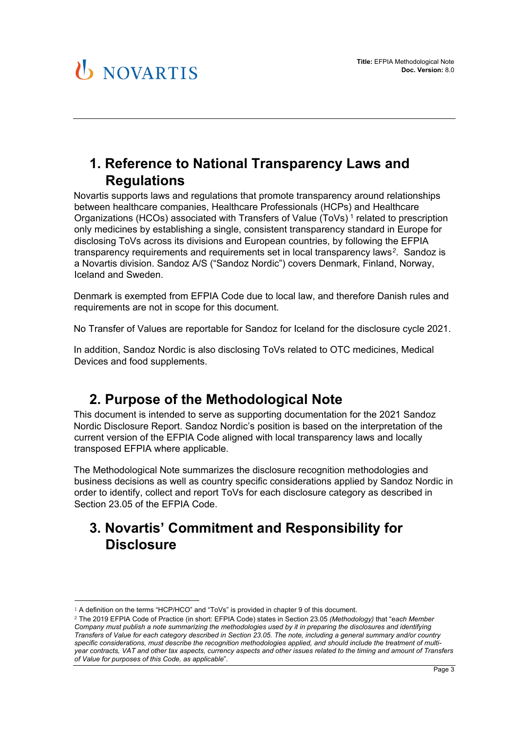## **1. Reference to National Transparency Laws and Regulations**

Novartis supports laws and regulations that promote transparency around relationships between healthcare companies, Healthcare Professionals (HCPs) and Healthcare Organizations (HCOs) associated with Transfers of Value (ToVs) [1](#page-2-0) related to prescription only medicines by establishing a single, consistent transparency standard in Europe for disclosing ToVs across its divisions and European countries, by following the EFPIA transparency requirements and requirements set in local transparency laws*[2](#page-2-1)*. Sandoz is a Novartis division. Sandoz A/S ("Sandoz Nordic") covers Denmark, Finland, Norway, Iceland and Sweden.

Denmark is exempted from EFPIA Code due to local law, and therefore Danish rules and requirements are not in scope for this document.

No Transfer of Values are reportable for Sandoz for Iceland for the disclosure cycle 2021.

In addition, Sandoz Nordic is also disclosing ToVs related to OTC medicines, Medical Devices and food supplements.

## **2. Purpose of the Methodological Note**

This document is intended to serve as supporting documentation for the 2021 Sandoz Nordic Disclosure Report. Sandoz Nordic's position is based on the interpretation of the current version of the EFPIA Code aligned with local transparency laws and locally transposed EFPIA where applicable.

The Methodological Note summarizes the disclosure recognition methodologies and business decisions as well as country specific considerations applied by Sandoz Nordic in order to identify, collect and report ToVs for each disclosure category as described in Section 23.05 of the EFPIA Code.

## **3. Novartis' Commitment and Responsibility for Disclosure**

<sup>1</sup> A definition on the terms "HCP/HCO" and "ToVs" is provided in chapter 9 of this document.

<span id="page-2-1"></span><span id="page-2-0"></span><sup>2</sup> The 2019 EFPIA Code of Practice (in short: EFPIA Code) states in Section 23.05 *(Methodology)* that "e*ach Member Company must publish a note summarizing the methodologies used by it in preparing the disclosures and identifying Transfers of Value for each category described in Section 23.05. The note, including a general summary and/or country specific considerations, must describe the recognition methodologies applied, and should include the treatment of multiyear contracts, VAT and other tax aspects, currency aspects and other issues related to the timing and amount of Transfers of Value for purposes of this Code, as applicable*".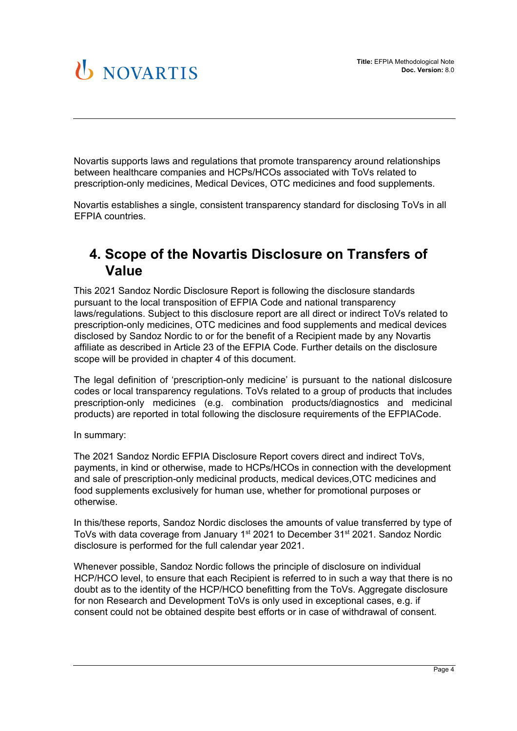Novartis supports laws and regulations that promote transparency around relationships between healthcare companies and HCPs/HCOs associated with ToVs related to prescription-only medicines, Medical Devices, OTC medicines and food supplements.

Novartis establishes a single, consistent transparency standard for disclosing ToVs in all EFPIA countries.

## **4. Scope of the Novartis Disclosure on Transfers of Value**

This 2021 Sandoz Nordic Disclosure Report is following the disclosure standards pursuant to the local transposition of EFPIA Code and national transparency laws/regulations. Subject to this disclosure report are all direct or indirect ToVs related to prescription-only medicines, OTC medicines and food supplements and medical devices disclosed by Sandoz Nordic to or for the benefit of a Recipient made by any Novartis affiliate as described in Article 23 of the EFPIA Code. Further details on the disclosure scope will be provided in chapter 4 of this document.

The legal definition of 'prescription-only medicine' is pursuant to the national dislcosure codes or local transparency regulations. ToVs related to a group of products that includes prescription-only medicines (e.g. combination products/diagnostics and medicinal products) are reported in total following the disclosure requirements of the EFPIACode.

In summary:

The 2021 Sandoz Nordic EFPIA Disclosure Report covers direct and indirect ToVs, payments, in kind or otherwise, made to HCPs/HCOs in connection with the development and sale of prescription-only medicinal products, medical devices,OTC medicines and food supplements exclusively for human use, whether for promotional purposes or otherwise.

In this/these reports, Sandoz Nordic discloses the amounts of value transferred by type of ToVs with data coverage from January 1<sup>st</sup> 2021 to December 31<sup>st</sup> 2021. Sandoz Nordic disclosure is performed for the full calendar year 2021.

Whenever possible, Sandoz Nordic follows the principle of disclosure on individual HCP/HCO level, to ensure that each Recipient is referred to in such a way that there is no doubt as to the identity of the HCP/HCO benefitting from the ToVs. Aggregate disclosure for non Research and Development ToVs is only used in exceptional cases, e.g. if consent could not be obtained despite best efforts or in case of withdrawal of consent.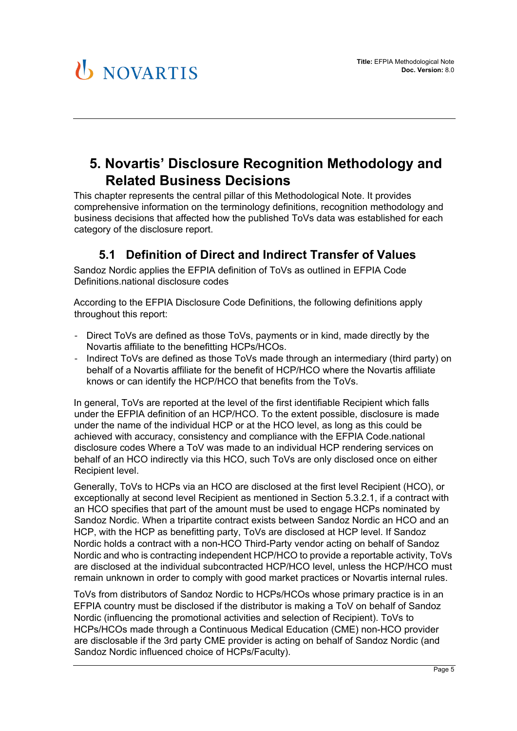## **5. Novartis' Disclosure Recognition Methodology and Related Business Decisions**

This chapter represents the central pillar of this Methodological Note. It provides comprehensive information on the terminology definitions, recognition methodology and business decisions that affected how the published ToVs data was established for each category of the disclosure report.

### **5.1 Definition of Direct and Indirect Transfer of Values**

Sandoz Nordic applies the EFPIA definition of ToVs as outlined in EFPIA Code Definitions.national disclosure codes

According to the EFPIA Disclosure Code Definitions, the following definitions apply throughout this report:

- Direct ToVs are defined as those ToVs, payments or in kind, made directly by the Novartis affiliate to the benefitting HCPs/HCOs.
- Indirect ToVs are defined as those ToVs made through an intermediary (third party) on behalf of a Novartis affiliate for the benefit of HCP/HCO where the Novartis affiliate knows or can identify the HCP/HCO that benefits from the ToVs.

In general, ToVs are reported at the level of the first identifiable Recipient which falls under the EFPIA definition of an HCP/HCO. To the extent possible, disclosure is made under the name of the individual HCP or at the HCO level, as long as this could be achieved with accuracy, consistency and compliance with the EFPIA Code.national disclosure codes Where a ToV was made to an individual HCP rendering services on behalf of an HCO indirectly via this HCO, such ToVs are only disclosed once on either Recipient level.

Generally, ToVs to HCPs via an HCO are disclosed at the first level Recipient (HCO), or exceptionally at second level Recipient as mentioned in Section 5.3.2.1, if a contract with an HCO specifies that part of the amount must be used to engage HCPs nominated by Sandoz Nordic. When a tripartite contract exists between Sandoz Nordic an HCO and an HCP, with the HCP as benefitting party, ToVs are disclosed at HCP level. If Sandoz Nordic holds a contract with a non-HCO Third-Party vendor acting on behalf of Sandoz Nordic and who is contracting independent HCP/HCO to provide a reportable activity, ToVs are disclosed at the individual subcontracted HCP/HCO level, unless the HCP/HCO must remain unknown in order to comply with good market practices or Novartis internal rules.

ToVs from distributors of Sandoz Nordic to HCPs/HCOs whose primary practice is in an EFPIA country must be disclosed if the distributor is making a ToV on behalf of Sandoz Nordic (influencing the promotional activities and selection of Recipient). ToVs to HCPs/HCOs made through a Continuous Medical Education (CME) non-HCO provider are disclosable if the 3rd party CME provider is acting on behalf of Sandoz Nordic (and Sandoz Nordic influenced choice of HCPs/Faculty).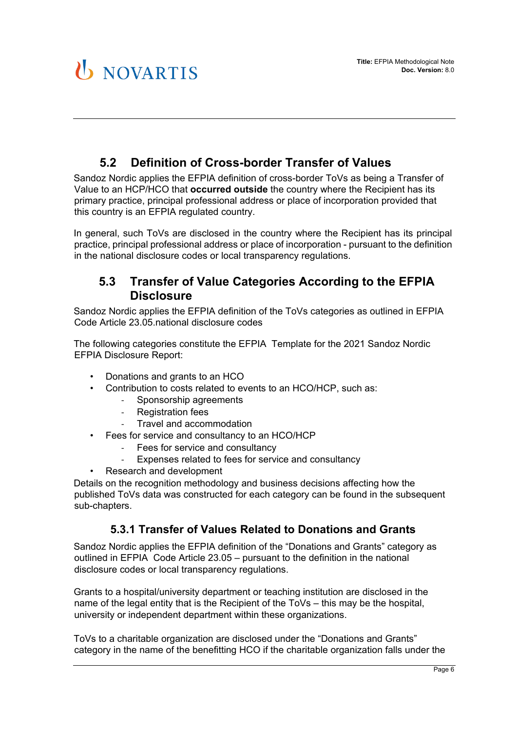### **5.2 Definition of Cross-border Transfer of Values**

Sandoz Nordic applies the EFPIA definition of cross-border ToVs as being a Transfer of Value to an HCP/HCO that **occurred outside** the country where the Recipient has its primary practice, principal professional address or place of incorporation provided that this country is an EFPIA regulated country.

In general, such ToVs are disclosed in the country where the Recipient has its principal practice, principal professional address or place of incorporation - pursuant to the definition in the national disclosure codes or local transparency regulations.

### **5.3 Transfer of Value Categories According to the EFPIA Disclosure**

Sandoz Nordic applies the EFPIA definition of the ToVs categories as outlined in EFPIA Code Article 23.05.national disclosure codes

The following categories constitute the EFPIA Template for the 2021 Sandoz Nordic EFPIA Disclosure Report:

- Donations and grants to an HCO
- Contribution to costs related to events to an HCO/HCP, such as:
	- Sponsorship agreements
	- Registration fees
	- Travel and accommodation
- Fees for service and consultancy to an HCO/HCP
	- Fees for service and consultancy
	- Expenses related to fees for service and consultancy
	- Research and development

Details on the recognition methodology and business decisions affecting how the published ToVs data was constructed for each category can be found in the subsequent sub-chapters.

#### **5.3.1 Transfer of Values Related to Donations and Grants**

Sandoz Nordic applies the EFPIA definition of the "Donations and Grants" category as outlined in EFPIA Code Article 23.05 – pursuant to the definition in the national disclosure codes or local transparency regulations.

Grants to a hospital/university department or teaching institution are disclosed in the name of the legal entity that is the Recipient of the ToVs – this may be the hospital, university or independent department within these organizations.

ToVs to a charitable organization are disclosed under the "Donations and Grants" category in the name of the benefitting HCO if the charitable organization falls under the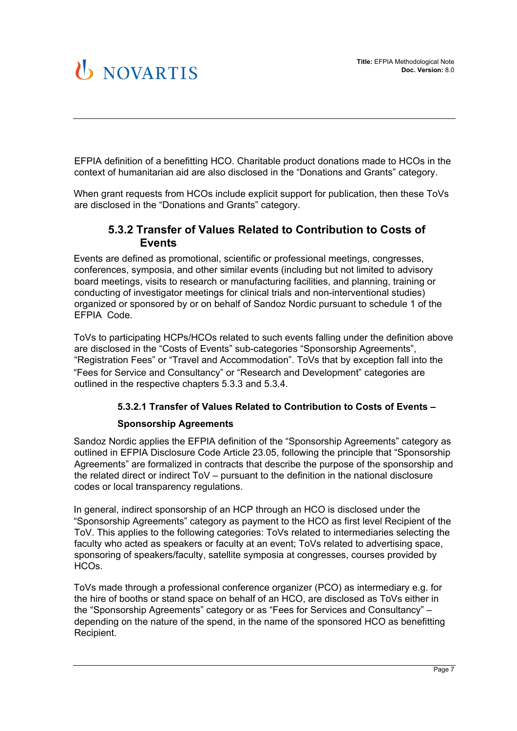EFPIA definition of a benefitting HCO. Charitable product donations made to HCOs in the context of humanitarian aid are also disclosed in the "Donations and Grants" category.

When grant requests from HCOs include explicit support for publication, then these ToVs are disclosed in the "Donations and Grants" category.

#### **5.3.2 Transfer of Values Related to Contribution to Costs of Events**

Events are defined as promotional, scientific or professional meetings, congresses, conferences, symposia, and other similar events (including but not limited to advisory board meetings, visits to research or manufacturing facilities, and planning, training or conducting of investigator meetings for clinical trials and non-interventional studies) organized or sponsored by or on behalf of Sandoz Nordic pursuant to schedule 1 of the EFPIA Code.

ToVs to participating HCPs/HCOs related to such events falling under the definition above are disclosed in the "Costs of Events" sub-categories "Sponsorship Agreements", "Registration Fees" or "Travel and Accommodation". ToVs that by exception fall into the "Fees for Service and Consultancy" or "Research and Development" categories are outlined in the respective chapters 5.3.3 and 5.3.4.

#### **5.3.2.1 Transfer of Values Related to Contribution to Costs of Events –**

#### **Sponsorship Agreements**

Sandoz Nordic applies the EFPIA definition of the "Sponsorship Agreements" category as outlined in EFPIA Disclosure Code Article 23.05, following the principle that "Sponsorship Agreements" are formalized in contracts that describe the purpose of the sponsorship and the related direct or indirect ToV – pursuant to the definition in the national disclosure codes or local transparency regulations.

In general, indirect sponsorship of an HCP through an HCO is disclosed under the "Sponsorship Agreements" category as payment to the HCO as first level Recipient of the ToV. This applies to the following categories: ToVs related to intermediaries selecting the faculty who acted as speakers or faculty at an event; ToVs related to advertising space, sponsoring of speakers/faculty, satellite symposia at congresses, courses provided by HCOs.

ToVs made through a professional conference organizer (PCO) as intermediary e.g. for the hire of booths or stand space on behalf of an HCO, are disclosed as ToVs either in the "Sponsorship Agreements" category or as "Fees for Services and Consultancy" – depending on the nature of the spend, in the name of the sponsored HCO as benefitting Recipient.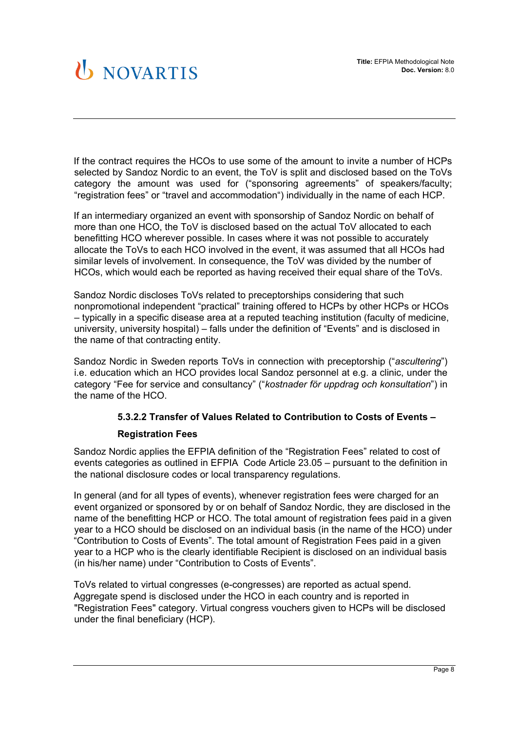If the contract requires the HCOs to use some of the amount to invite a number of HCPs selected by Sandoz Nordic to an event, the ToV is split and disclosed based on the ToVs category the amount was used for ("sponsoring agreements" of speakers/faculty; "registration fees" or "travel and accommodation") individually in the name of each HCP.

If an intermediary organized an event with sponsorship of Sandoz Nordic on behalf of more than one HCO, the ToV is disclosed based on the actual ToV allocated to each benefitting HCO wherever possible. In cases where it was not possible to accurately allocate the ToVs to each HCO involved in the event, it was assumed that all HCOs had similar levels of involvement. In consequence, the ToV was divided by the number of HCOs, which would each be reported as having received their equal share of the ToVs.

Sandoz Nordic discloses ToVs related to preceptorships considering that such nonpromotional independent "practical" training offered to HCPs by other HCPs or HCOs – typically in a specific disease area at a reputed teaching institution (faculty of medicine, university, university hospital) – falls under the definition of "Events" and is disclosed in the name of that contracting entity.

Sandoz Nordic in Sweden reports ToVs in connection with preceptorship ("*ascultering*") i.e. education which an HCO provides local Sandoz personnel at e.g. a clinic, under the category "Fee for service and consultancy" ("*kostnader för uppdrag och konsultation*") in the name of the HCO.

#### **5.3.2.2 Transfer of Values Related to Contribution to Costs of Events –**

#### **Registration Fees**

Sandoz Nordic applies the EFPIA definition of the "Registration Fees" related to cost of events categories as outlined in EFPIA Code Article 23.05 – pursuant to the definition in the national disclosure codes or local transparency regulations.

In general (and for all types of events), whenever registration fees were charged for an event organized or sponsored by or on behalf of Sandoz Nordic, they are disclosed in the name of the benefitting HCP or HCO. The total amount of registration fees paid in a given year to a HCO should be disclosed on an individual basis (in the name of the HCO) under "Contribution to Costs of Events". The total amount of Registration Fees paid in a given year to a HCP who is the clearly identifiable Recipient is disclosed on an individual basis (in his/her name) under "Contribution to Costs of Events".

ToVs related to virtual congresses (e-congresses) are reported as actual spend. Aggregate spend is disclosed under the HCO in each country and is reported in "Registration Fees" category. Virtual congress vouchers given to HCPs will be disclosed under the final beneficiary (HCP).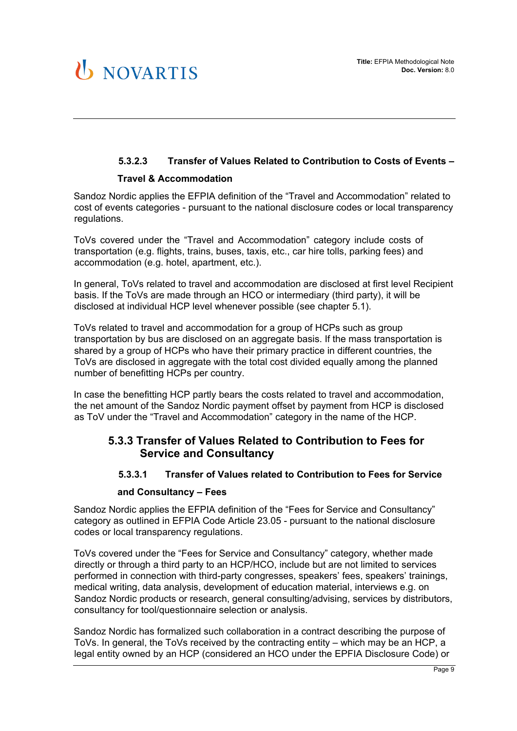### **5.3.2.3 Transfer of Values Related to Contribution to Costs of Events –**

#### **Travel & Accommodation**

Sandoz Nordic applies the EFPIA definition of the "Travel and Accommodation" related to cost of events categories - pursuant to the national disclosure codes or local transparency regulations.

ToVs covered under the "Travel and Accommodation" category include costs of transportation (e.g. flights, trains, buses, taxis, etc., car hire tolls, parking fees) and accommodation (e.g. hotel, apartment, etc.).

In general, ToVs related to travel and accommodation are disclosed at first level Recipient basis. If the ToVs are made through an HCO or intermediary (third party), it will be disclosed at individual HCP level whenever possible (see chapter 5.1).

ToVs related to travel and accommodation for a group of HCPs such as group transportation by bus are disclosed on an aggregate basis. If the mass transportation is shared by a group of HCPs who have their primary practice in different countries, the ToVs are disclosed in aggregate with the total cost divided equally among the planned number of benefitting HCPs per country.

In case the benefitting HCP partly bears the costs related to travel and accommodation, the net amount of the Sandoz Nordic payment offset by payment from HCP is disclosed as ToV under the "Travel and Accommodation" category in the name of the HCP.

#### **5.3.3 Transfer of Values Related to Contribution to Fees for Service and Consultancy**

#### **5.3.3.1 Transfer of Values related to Contribution to Fees for Service**

#### **and Consultancy – Fees**

Sandoz Nordic applies the EFPIA definition of the "Fees for Service and Consultancy" category as outlined in EFPIA Code Article 23.05 - pursuant to the national disclosure codes or local transparency regulations.

ToVs covered under the "Fees for Service and Consultancy" category, whether made directly or through a third party to an HCP/HCO, include but are not limited to services performed in connection with third-party congresses, speakers' fees, speakers' trainings, medical writing, data analysis, development of education material, interviews e.g. on Sandoz Nordic products or research, general consulting/advising, services by distributors, consultancy for tool/questionnaire selection or analysis.

Sandoz Nordic has formalized such collaboration in a contract describing the purpose of ToVs. In general, the ToVs received by the contracting entity – which may be an HCP, a legal entity owned by an HCP (considered an HCO under the EPFIA Disclosure Code) or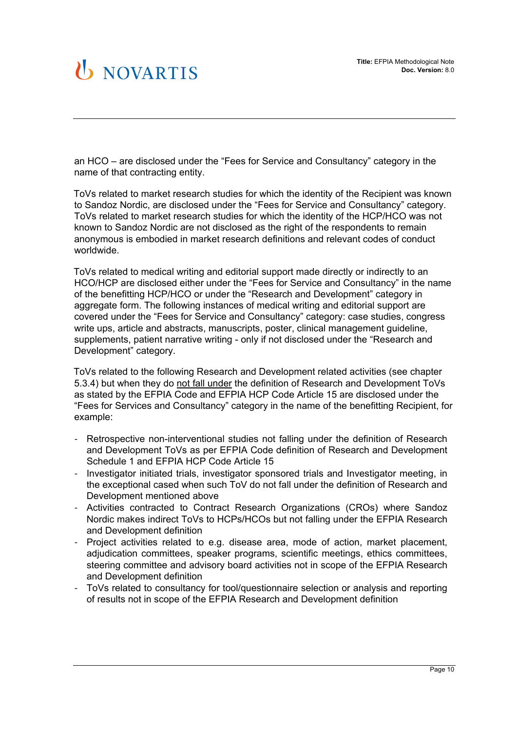an HCO – are disclosed under the "Fees for Service and Consultancy" category in the name of that contracting entity.

ToVs related to market research studies for which the identity of the Recipient was known to Sandoz Nordic, are disclosed under the "Fees for Service and Consultancy" category. ToVs related to market research studies for which the identity of the HCP/HCO was not known to Sandoz Nordic are not disclosed as the right of the respondents to remain anonymous is embodied in market research definitions and relevant codes of conduct worldwide.

ToVs related to medical writing and editorial support made directly or indirectly to an HCO/HCP are disclosed either under the "Fees for Service and Consultancy" in the name of the benefitting HCP/HCO or under the "Research and Development" category in aggregate form. The following instances of medical writing and editorial support are covered under the "Fees for Service and Consultancy" category: case studies, congress write ups, article and abstracts, manuscripts, poster, clinical management guideline, supplements, patient narrative writing - only if not disclosed under the "Research and Development" category.

ToVs related to the following Research and Development related activities (see chapter 5.3.4) but when they do not fall under the definition of Research and Development ToVs as stated by the EFPIA Code and EFPIA HCP Code Article 15 are disclosed under the "Fees for Services and Consultancy" category in the name of the benefitting Recipient, for example:

- Retrospective non-interventional studies not falling under the definition of Research and Development ToVs as per EFPIA Code definition of Research and Development Schedule 1 and EFPIA HCP Code Article 15
- Investigator initiated trials, investigator sponsored trials and Investigator meeting, in the exceptional cased when such ToV do not fall under the definition of Research and Development mentioned above
- Activities contracted to Contract Research Organizations (CROs) where Sandoz Nordic makes indirect ToVs to HCPs/HCOs but not falling under the EFPIA Research and Development definition
- Project activities related to e.g. disease area, mode of action, market placement, adjudication committees, speaker programs, scientific meetings, ethics committees, steering committee and advisory board activities not in scope of the EFPIA Research and Development definition
- ToVs related to consultancy for tool/questionnaire selection or analysis and reporting of results not in scope of the EFPIA Research and Development definition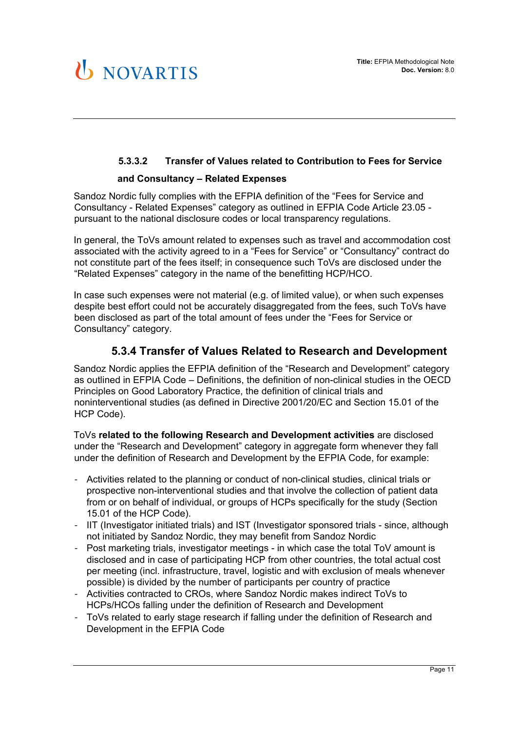#### **5.3.3.2 Transfer of Values related to Contribution to Fees for Service and Consultancy – Related Expenses**

Sandoz Nordic fully complies with the EFPIA definition of the "Fees for Service and Consultancy - Related Expenses" category as outlined in EFPIA Code Article 23.05 pursuant to the national disclosure codes or local transparency regulations.

In general, the ToVs amount related to expenses such as travel and accommodation cost associated with the activity agreed to in a "Fees for Service" or "Consultancy" contract do not constitute part of the fees itself; in consequence such ToVs are disclosed under the "Related Expenses" category in the name of the benefitting HCP/HCO.

In case such expenses were not material (e.g. of limited value), or when such expenses despite best effort could not be accurately disaggregated from the fees, such ToVs have been disclosed as part of the total amount of fees under the "Fees for Service or Consultancy" category.

#### **5.3.4 Transfer of Values Related to Research and Development**

Sandoz Nordic applies the EFPIA definition of the "Research and Development" category as outlined in EFPIA Code – Definitions, the definition of non-clinical studies in the OECD Principles on Good Laboratory Practice, the definition of clinical trials and noninterventional studies (as defined in Directive 2001/20/EC and Section 15.01 of the HCP Code).

ToVs **related to the following Research and Development activities** are disclosed under the "Research and Development" category in aggregate form whenever they fall under the definition of Research and Development by the EFPIA Code, for example:

- Activities related to the planning or conduct of non-clinical studies, clinical trials or prospective non-interventional studies and that involve the collection of patient data from or on behalf of individual, or groups of HCPs specifically for the study (Section 15.01 of the HCP Code).
- IIT (Investigator initiated trials) and IST (Investigator sponsored trials since, although not initiated by Sandoz Nordic, they may benefit from Sandoz Nordic
- Post marketing trials, investigator meetings in which case the total ToV amount is disclosed and in case of participating HCP from other countries, the total actual cost per meeting (incl. infrastructure, travel, logistic and with exclusion of meals whenever possible) is divided by the number of participants per country of practice
- Activities contracted to CROs, where Sandoz Nordic makes indirect ToVs to HCPs/HCOs falling under the definition of Research and Development
- ToVs related to early stage research if falling under the definition of Research and Development in the EFPIA Code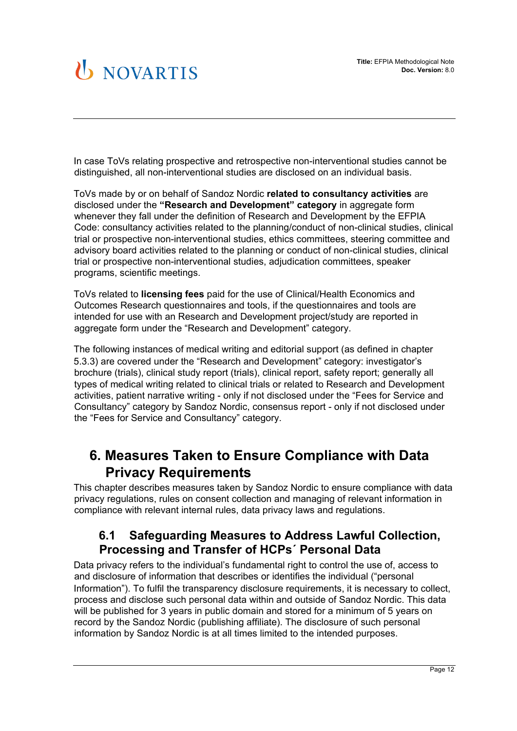In case ToVs relating prospective and retrospective non-interventional studies cannot be distinguished, all non-interventional studies are disclosed on an individual basis.

ToVs made by or on behalf of Sandoz Nordic **related to consultancy activities** are disclosed under the **"Research and Development" category** in aggregate form whenever they fall under the definition of Research and Development by the EFPIA Code: consultancy activities related to the planning/conduct of non-clinical studies, clinical trial or prospective non-interventional studies, ethics committees, steering committee and advisory board activities related to the planning or conduct of non-clinical studies, clinical trial or prospective non-interventional studies, adjudication committees, speaker programs, scientific meetings.

ToVs related to **licensing fees** paid for the use of Clinical/Health Economics and Outcomes Research questionnaires and tools, if the questionnaires and tools are intended for use with an Research and Development project/study are reported in aggregate form under the "Research and Development" category.

The following instances of medical writing and editorial support (as defined in chapter 5.3.3) are covered under the "Research and Development" category: investigator's brochure (trials), clinical study report (trials), clinical report, safety report; generally all types of medical writing related to clinical trials or related to Research and Development activities, patient narrative writing - only if not disclosed under the "Fees for Service and Consultancy" category by Sandoz Nordic, consensus report - only if not disclosed under the "Fees for Service and Consultancy" category.

## **6. Measures Taken to Ensure Compliance with Data Privacy Requirements**

This chapter describes measures taken by Sandoz Nordic to ensure compliance with data privacy regulations, rules on consent collection and managing of relevant information in compliance with relevant internal rules, data privacy laws and regulations.

### **6.1 Safeguarding Measures to Address Lawful Collection, Processing and Transfer of HCPs´ Personal Data**

Data privacy refers to the individual's fundamental right to control the use of, access to and disclosure of information that describes or identifies the individual ("personal Information"). To fulfil the transparency disclosure requirements, it is necessary to collect, process and disclose such personal data within and outside of Sandoz Nordic. This data will be published for 3 years in public domain and stored for a minimum of 5 years on record by the Sandoz Nordic (publishing affiliate). The disclosure of such personal information by Sandoz Nordic is at all times limited to the intended purposes.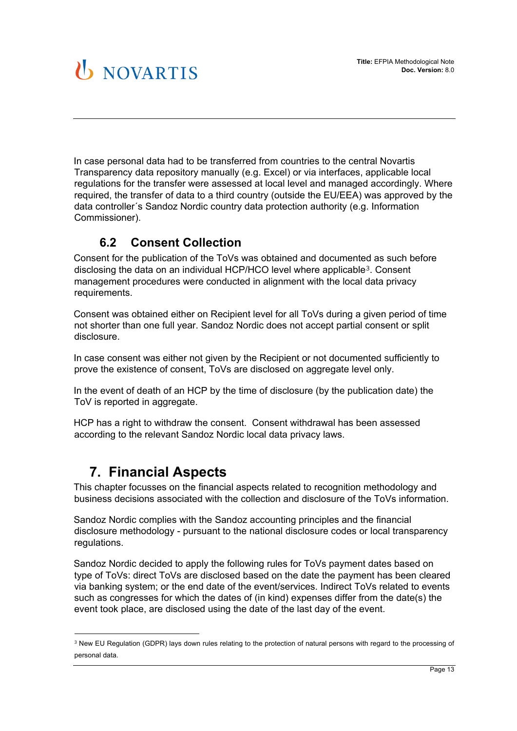In case personal data had to be transferred from countries to the central Novartis Transparency data repository manually (e.g. Excel) or via interfaces, applicable local regulations for the transfer were assessed at local level and managed accordingly. Where required, the transfer of data to a third country (outside the EU/EEA) was approved by the data controller´s Sandoz Nordic country data protection authority (e.g. Information Commissioner).

### **6.2 Consent Collection**

Consent for the publication of the ToVs was obtained and documented as such before disclosing the data on an individual HCP/HCO level where applicable[3](#page-12-0). Consent management procedures were conducted in alignment with the local data privacy requirements.

Consent was obtained either on Recipient level for all ToVs during a given period of time not shorter than one full year. Sandoz Nordic does not accept partial consent or split disclosure.

In case consent was either not given by the Recipient or not documented sufficiently to prove the existence of consent, ToVs are disclosed on aggregate level only.

In the event of death of an HCP by the time of disclosure (by the publication date) the ToV is reported in aggregate.

HCP has a right to withdraw the consent. Consent withdrawal has been assessed according to the relevant Sandoz Nordic local data privacy laws.

## **7. Financial Aspects**

This chapter focusses on the financial aspects related to recognition methodology and business decisions associated with the collection and disclosure of the ToVs information.

Sandoz Nordic complies with the Sandoz accounting principles and the financial disclosure methodology - pursuant to the national disclosure codes or local transparency regulations.

Sandoz Nordic decided to apply the following rules for ToVs payment dates based on type of ToVs: direct ToVs are disclosed based on the date the payment has been cleared via banking system; or the end date of the event/services. Indirect ToVs related to events such as congresses for which the dates of (in kind) expenses differ from the date(s) the event took place, are disclosed using the date of the last day of the event.

<span id="page-12-0"></span><sup>3</sup> New EU Regulation (GDPR) lays down rules relating to the protection of natural persons with regard to the processing of personal data.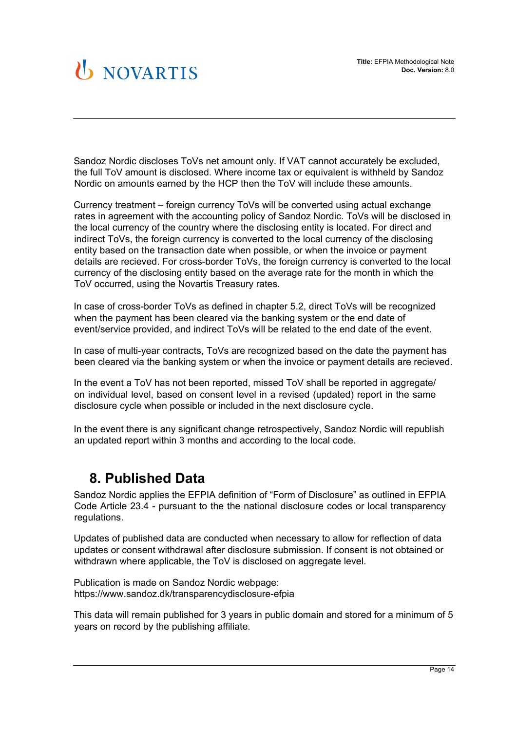Sandoz Nordic discloses ToVs net amount only. If VAT cannot accurately be excluded, the full ToV amount is disclosed. Where income tax or equivalent is withheld by Sandoz Nordic on amounts earned by the HCP then the ToV will include these amounts.

Currency treatment – foreign currency ToVs will be converted using actual exchange rates in agreement with the accounting policy of Sandoz Nordic. ToVs will be disclosed in the local currency of the country where the disclosing entity is located. For direct and indirect ToVs, the foreign currency is converted to the local currency of the disclosing entity based on the transaction date when possible, or when the invoice or payment details are recieved. For cross-border ToVs, the foreign currency is converted to the local currency of the disclosing entity based on the average rate for the month in which the ToV occurred, using the Novartis Treasury rates.

In case of cross-border ToVs as defined in chapter 5.2, direct ToVs will be recognized when the payment has been cleared via the banking system or the end date of event/service provided, and indirect ToVs will be related to the end date of the event.

In case of multi-year contracts, ToVs are recognized based on the date the payment has been cleared via the banking system or when the invoice or payment details are recieved.

In the event a ToV has not been reported, missed ToV shall be reported in aggregate/ on individual level, based on consent level in a revised (updated) report in the same disclosure cycle when possible or included in the next disclosure cycle.

In the event there is any significant change retrospectively, Sandoz Nordic will republish an updated report within 3 months and according to the local code.

### **8. Published Data**

Sandoz Nordic applies the EFPIA definition of "Form of Disclosure" as outlined in EFPIA Code Article 23.4 - pursuant to the the national disclosure codes or local transparency regulations.

Updates of published data are conducted when necessary to allow for reflection of data updates or consent withdrawal after disclosure submission. If consent is not obtained or withdrawn where applicable, the ToV is disclosed on aggregate level.

Publication is made on Sandoz Nordic webpage: https://www.sandoz.dk/transparencydisclosure-efpia

This data will remain published for 3 years in public domain and stored for a minimum of 5 years on record by the publishing affiliate.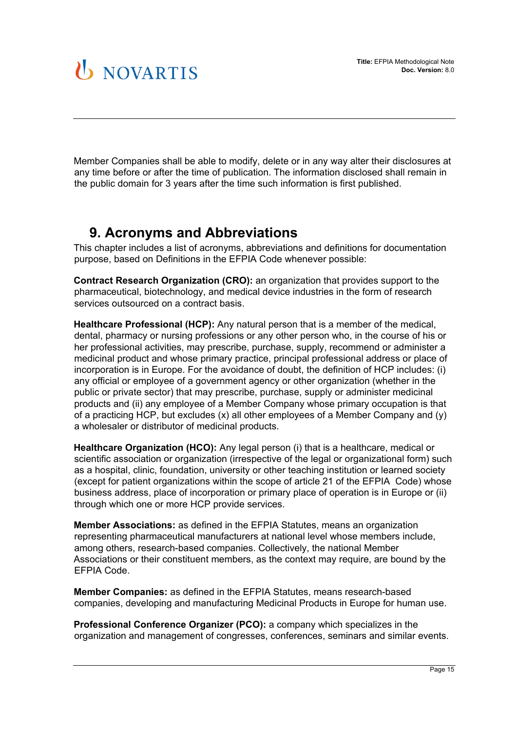Member Companies shall be able to modify, delete or in any way alter their disclosures at any time before or after the time of publication. The information disclosed shall remain in the public domain for 3 years after the time such information is first published.

## **9. Acronyms and Abbreviations**

This chapter includes a list of acronyms, abbreviations and definitions for documentation purpose, based on Definitions in the EFPIA Code whenever possible:

**Contract Research Organization (CRO):** an organization that provides support to the pharmaceutical, biotechnology, and medical device industries in the form of research services outsourced on a contract basis.

**Healthcare Professional (HCP):** Any natural person that is a member of the medical, dental, pharmacy or nursing professions or any other person who, in the course of his or her professional activities, may prescribe, purchase, supply, recommend or administer a medicinal product and whose primary practice, principal professional address or place of incorporation is in Europe. For the avoidance of doubt, the definition of HCP includes: (i) any official or employee of a government agency or other organization (whether in the public or private sector) that may prescribe, purchase, supply or administer medicinal products and (ii) any employee of a Member Company whose primary occupation is that of a practicing HCP, but excludes (x) all other employees of a Member Company and (y) a wholesaler or distributor of medicinal products.

**Healthcare Organization (HCO):** Any legal person (i) that is a healthcare, medical or scientific association or organization (irrespective of the legal or organizational form) such as a hospital, clinic, foundation, university or other teaching institution or learned society (except for patient organizations within the scope of article 21 of the EFPIA Code) whose business address, place of incorporation or primary place of operation is in Europe or (ii) through which one or more HCP provide services.

**Member Associations:** as defined in the EFPIA Statutes, means an organization representing pharmaceutical manufacturers at national level whose members include, among others, research-based companies. Collectively, the national Member Associations or their constituent members, as the context may require, are bound by the EFPIA Code.

**Member Companies:** as defined in the EFPIA Statutes, means research-based companies, developing and manufacturing Medicinal Products in Europe for human use.

**Professional Conference Organizer (PCO):** a company which specializes in the organization and management of congresses, conferences, seminars and similar events.